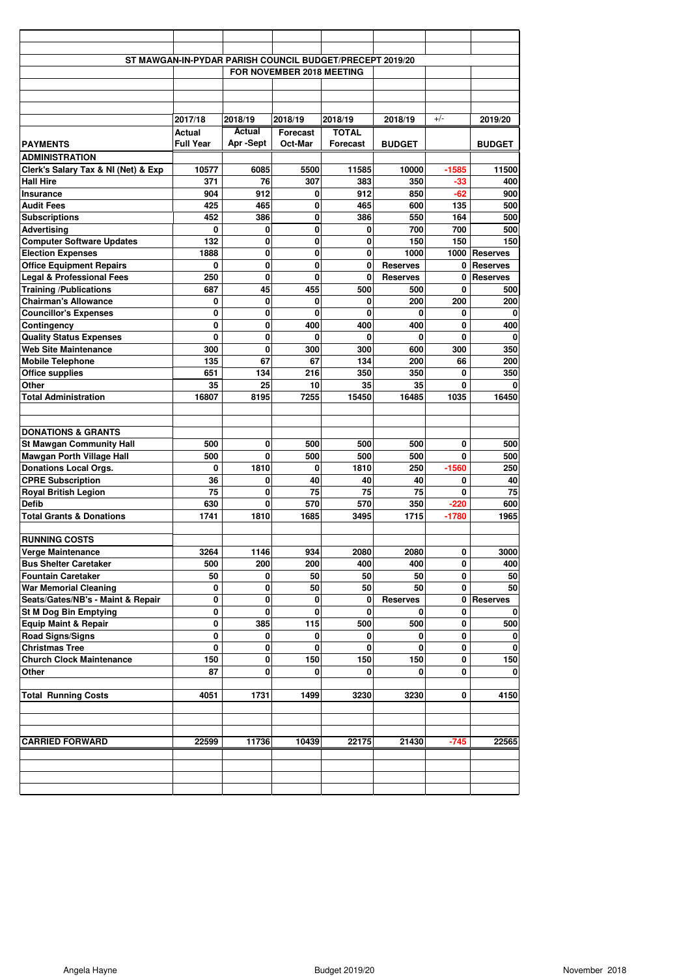|                                      |                           |          |             | ST MAWGAN-IN-PYDAR PARISH COUNCIL BUDGET/PRECEPT 2019/20 |                 |             |                 |
|--------------------------------------|---------------------------|----------|-------------|----------------------------------------------------------|-----------------|-------------|-----------------|
|                                      |                           |          |             |                                                          |                 |             |                 |
|                                      | FOR NOVEMBER 2018 MEETING |          |             |                                                          |                 |             |                 |
|                                      |                           |          |             |                                                          |                 |             |                 |
|                                      |                           |          |             |                                                          |                 |             |                 |
|                                      | 2017/18                   | 2018/19  | 2018/19     | 2018/19                                                  | 2018/19         | $+/-$       | 2019/20         |
|                                      | Actual                    | Actual   | Forecast    | <b>TOTAL</b>                                             |                 |             |                 |
| <b>PAYMENTS</b>                      | <b>Full Year</b>          | Apr-Sept | Oct-Mar     | <b>Forecast</b>                                          | <b>BUDGET</b>   |             | <b>BUDGET</b>   |
| <b>ADMINISTRATION</b>                |                           |          |             |                                                          |                 |             |                 |
| Clerk's Salary Tax & NI (Net) & Exp  | 10577                     | 6085     | 5500        | 11585                                                    | 10000           | $-1585$     | 11500           |
| <b>Hall Hire</b>                     | 371                       | 76       | 307         | 383                                                      | 350             | $-33$       | 400             |
| Insurance                            | 904                       | 912      | 0           | 912                                                      | 850             | $-62$       | 900             |
| <b>Audit Fees</b>                    | 425                       | 465      | 0           | 465                                                      | 600             | 135         | 500             |
| <b>Subscriptions</b>                 | 452                       | 386      | 0           | 386                                                      | 550             | 164         | 500             |
| <b>Advertising</b>                   | 0                         | 0        | 0           | 0                                                        | 700             | 700         | 500             |
| <b>Computer Software Updates</b>     | 132                       | 0        | $\mathbf 0$ | 0                                                        | 150             | 150         | 150             |
| <b>Election Expenses</b>             | 1888                      | 0        | 0           | $\mathbf{0}$                                             | 1000            |             | 1000 Reserves   |
| <b>Office Equipment Repairs</b>      | 0                         | 0        | 0           | $\mathbf 0$                                              | <b>Reserves</b> | 0           | <b>Reserves</b> |
| <b>Legal &amp; Professional Fees</b> | 250                       | 0        | 0           | $\mathbf{0}$                                             | <b>Reserves</b> | 0           | <b>Reserves</b> |
| <b>Training /Publications</b>        | 687                       | 45       | 455         | 500                                                      | 500             | 0           | 500             |
| <b>Chairman's Allowance</b>          | 0                         | 0        | 0           | 0                                                        | 200             | 200         | 200             |
| <b>Councillor's Expenses</b>         | 0                         | 0        | $\mathbf 0$ | $\bf{0}$                                                 | $\mathbf{0}$    | 0           | $\mathbf 0$     |
| Contingency                          | 0                         | 0        | 400         | 400                                                      | 400             | 0           | 400             |
| <b>Quality Status Expenses</b>       | 0                         | $\bf{0}$ | 0           | $\bf{0}$                                                 | $\bf{0}$        | 0           | $\mathbf 0$     |
| <b>Web Site Maintenance</b>          | 300                       | 0        | 300         | 300                                                      | 600             | 300         | 350             |
| <b>Mobile Telephone</b>              | 135                       | 67       | 67          | 134                                                      | 200             | 66          | 200             |
| <b>Office supplies</b>               | 651                       | 134      | 216         | 350                                                      | 350             | 0           | 350             |
| Other                                | 35                        | 25       | 10          | 35                                                       | 35              | 0           | 0               |
| <b>Total Administration</b>          | 16807                     | 8195     | 7255        | 15450                                                    | 16485           | 1035        | 16450           |
|                                      |                           |          |             |                                                          |                 |             |                 |
|                                      |                           |          |             |                                                          |                 |             |                 |
| <b>DONATIONS &amp; GRANTS</b>        |                           |          |             |                                                          |                 |             |                 |
| <b>St Mawgan Community Hall</b>      | 500                       | 0        | 500         | 500                                                      | 500             | 0           | 500             |
| <b>Mawgan Porth Village Hall</b>     | 500                       | 0        | 500         | 500                                                      | 500             | 0           | 500             |
| <b>Donations Local Orgs.</b>         | 0                         | 1810     | 0           | 1810                                                     | 250             | $-1560$     | 250             |
| <b>CPRE Subscription</b>             | 36                        | 0        | 40          | 40                                                       | 40              | 0           | 40              |
| <b>Royal British Legion</b>          | 75                        | 0<br>0   | 75          | 75                                                       | 75              | 0<br>$-220$ | 75              |
| <b>Defib</b>                         | 630                       |          | 570         | 570                                                      | 350             |             | 600             |
| <b>Total Grants &amp; Donations</b>  | 1741                      | 1810     | 1685        | 3495                                                     | 1715            | $-1780$     | 1965            |
| <b>RUNNING COSTS</b>                 |                           |          |             |                                                          |                 |             |                 |
| <b>Verge Maintenance</b>             | 3264                      | 1146     | 934         | 2080                                                     | 2080            | 0           | 3000            |
| <b>Bus Shelter Caretaker</b>         | 500                       | 200      | 200         | 400                                                      | 400             | 0           | 400             |
| <b>Fountain Caretaker</b>            | 50                        | 0        | 50          | 50                                                       | 50              | 0           | 50              |
| <b>War Memorial Cleaning</b>         | 0                         | 0        | 50          | 50                                                       | 50              | 0           | 50              |
| Seats/Gates/NB's - Maint & Repair    | 0                         | 0        | 0           | 0                                                        | <b>Reserves</b> | 0           | <b>Reserves</b> |
| <b>St M Dog Bin Emptying</b>         | 0                         | 0        | 0           | 0                                                        | 0               | 0           | $\mathbf 0$     |
| <b>Equip Maint &amp; Repair</b>      | 0                         | 385      | 115         | 500                                                      | 500             | 0           | 500             |
| <b>Road Signs/Signs</b>              | 0                         | 0        | 0           | 0                                                        | $\mathbf{0}$    | 0           | $\mathbf{0}$    |
| <b>Christmas Tree</b>                | 0                         | 0        | 0           | $\mathbf{0}$                                             | 0               | 0           | $\mathbf 0$     |
| <b>Church Clock Maintenance</b>      | 150                       | 0        | 150         | 150                                                      | 150             | 0           | 150             |
| Other                                | 87                        | 0        | 0           | 0                                                        | 0               | 0           | $\mathbf 0$     |
|                                      |                           |          |             |                                                          |                 |             |                 |
| <b>Total Running Costs</b>           | 4051                      | 1731     | 1499        | 3230                                                     | 3230            | 0           | 4150            |
|                                      |                           |          |             |                                                          |                 |             |                 |
|                                      |                           |          |             |                                                          |                 |             |                 |
|                                      |                           |          |             |                                                          |                 |             |                 |
| <b>CARRIED FORWARD</b>               | 22599                     | 11736    | 10439       | 22175                                                    | 21430           | $-745$      | 22565           |
|                                      |                           |          |             |                                                          |                 |             |                 |
|                                      |                           |          |             |                                                          |                 |             |                 |
|                                      |                           |          |             |                                                          |                 |             |                 |
|                                      |                           |          |             |                                                          |                 |             |                 |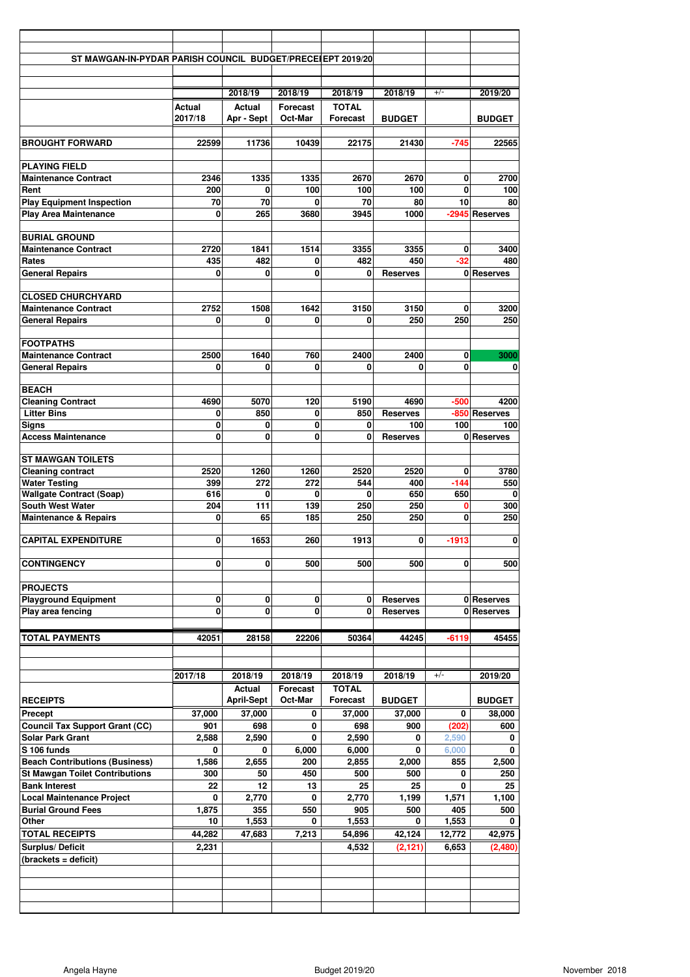| ST MAWGAN-IN-PYDAR PARISH COUNCIL BUDGET/PRECE(EPT 2019/20       |                   |                      |                     |                                 |                         |                |                       |
|------------------------------------------------------------------|-------------------|----------------------|---------------------|---------------------------------|-------------------------|----------------|-----------------------|
|                                                                  |                   |                      |                     |                                 |                         |                |                       |
|                                                                  |                   |                      |                     |                                 |                         |                |                       |
|                                                                  |                   | 2018/19              | 2018/19             | 2018/19                         | 2018/19                 | $+/-$          | 2019/20               |
|                                                                  | Actual<br>2017/18 | Actual<br>Apr - Sept | Forecast<br>Oct-Mar | <b>TOTAL</b><br><b>Forecast</b> | <b>BUDGET</b>           |                | <b>BUDGET</b>         |
|                                                                  |                   |                      |                     |                                 |                         |                |                       |
| <b>BROUGHT FORWARD</b>                                           | 22599             | 11736                | 10439               | 22175                           | 21430                   | $-745$         | 22565                 |
|                                                                  |                   |                      |                     |                                 |                         |                |                       |
| <b>PLAYING FIELD</b><br><b>Maintenance Contract</b>              | 2346              | 1335                 | 1335                | 2670                            | 2670                    | 0              | 2700                  |
| Rent                                                             | 200               | $\bf{0}$             | 100                 | 100                             | 100                     | $\mathbf{0}$   | 100                   |
| <b>Play Equipment Inspection</b>                                 | 70                | 70                   | ŋ                   | 70                              | 80                      | 10             | 80                    |
| <b>Play Area Maintenance</b>                                     | 0                 | 265                  | 3680                | 3945                            | 1000                    |                | -2945 Reserves        |
| <b>BURIAL GROUND</b>                                             |                   |                      |                     |                                 |                         |                |                       |
| <b>Maintenance Contract</b>                                      | 2720              | 1841                 | 1514                | 3355                            | 3355                    | 0              | 3400                  |
| Rates                                                            | 435               | 482                  | 0                   | 482                             | 450                     | $-32$          | 480                   |
| <b>General Repairs</b>                                           | 0                 | 0                    | 0                   | $\mathbf{0}$                    | <b>Reserves</b>         |                | 0 Reserves            |
| <b>CLOSED CHURCHYARD</b>                                         |                   |                      |                     |                                 |                         |                |                       |
| <b>Maintenance Contract</b>                                      | 2752              | 1508                 | 1642                | 3150                            | 3150                    | 0              | 3200                  |
| <b>General Repairs</b>                                           | $\Omega$          | 0                    | 0                   | 0                               | 250                     | 250            | 250                   |
|                                                                  |                   |                      |                     |                                 |                         |                |                       |
| <b>FOOTPATHS</b><br><b>Maintenance Contract</b>                  | 2500              | 1640                 | 760                 | 2400                            | 2400                    | 0              | 3000                  |
| <b>General Repairs</b>                                           | 0                 | 0                    | 0                   | 0                               | 0                       | $\bf{0}$       | 0                     |
|                                                                  |                   |                      |                     |                                 |                         |                |                       |
| <b>BEACH</b>                                                     |                   |                      |                     |                                 |                         |                |                       |
| <b>Cleaning Contract</b><br><b>Litter Bins</b>                   | 4690<br>0         | 5070<br>850          | 120<br>0            | 5190<br>850                     | 4690<br><b>Reserves</b> | $-500$         | 4200<br>-850 Reserves |
| <b>Signs</b>                                                     | 0                 | 0                    | 0                   | 0                               | 100                     | 100            | 100                   |
| <b>Access Maintenance</b>                                        | 0                 | 0                    | 0                   | 0                               | <b>Reserves</b>         |                | 0 Reserves            |
| <b>ST MAWGAN TOILETS</b>                                         |                   |                      |                     |                                 |                         |                |                       |
| <b>Cleaning contract</b>                                         | 2520              | 1260                 | 1260                | 2520                            | 2520                    | 0              | 3780                  |
| <b>Water Testing</b>                                             | 399               | 272                  | 272                 | 544                             | 400                     | $-144$         | 550                   |
| <b>Wallgate Contract (Soap)</b>                                  | 616               | 0                    | 0                   | 0                               | 650                     | 650            | 0                     |
| <b>South West Water</b><br><b>Maintenance &amp; Repairs</b>      | 204<br>0          | 111<br>65            | 139<br>185          | 250<br>250                      | 250<br>250              | 0<br>0         | 300<br>250            |
|                                                                  |                   |                      |                     |                                 |                         |                |                       |
| <b>CAPITAL EXPENDITURE</b>                                       | $\mathbf{0}$      | 1653                 | 260                 | 1913                            | $\bf{0}$                | $-1913$        | $\mathbf{0}$          |
| <b>CONTINGENCY</b>                                               | 0                 | 0                    | 500                 | 500                             | 500                     | 0              | 500                   |
|                                                                  |                   |                      |                     |                                 |                         |                |                       |
| <b>PROJECTS</b><br><b>Playground Equipment</b>                   | 0                 | 0                    | 0                   | $\mathbf{0}$                    | <b>Reserves</b>         |                | 0 Reserves            |
| Play area fencing                                                | 0                 | 0                    | 0                   | $\mathbf{0}$                    | <b>Reserves</b>         |                | 0 Reserves            |
|                                                                  |                   |                      |                     |                                 |                         |                |                       |
| <b>TOTAL PAYMENTS</b>                                            | 42051             | 28158                | 22206               | 50364                           | 44245                   | $-6119$        | 45455                 |
|                                                                  |                   |                      |                     |                                 |                         |                |                       |
|                                                                  | 2017/18           | 2018/19              | 2018/19             | 2018/19                         | 2018/19                 | $+/-$          | 2019/20               |
|                                                                  |                   | Actual               | <b>Forecast</b>     | <b>TOTAL</b>                    |                         |                |                       |
| <b>RECEIPTS</b>                                                  |                   | <b>April-Sept</b>    | Oct-Mar             | <b>Forecast</b>                 | <b>BUDGET</b>           |                | <b>BUDGET</b>         |
| Precept                                                          | 37,000            | 37,000               | 0                   | 37,000                          | 37,000                  | 0              | 38,000                |
| <b>Council Tax Support Grant (CC)</b><br><b>Solar Park Grant</b> | 901<br>2,588      | 698<br>2,590         | 0<br>0              | 698<br>2,590                    | 900                     | (202)          | 600                   |
| S 106 funds                                                      | 0                 | 0                    | 6,000               | 6,000                           | 0<br>0                  | 2,590<br>6,000 | 0<br>0                |
| <b>Beach Contributions (Business)</b>                            | 1,586             | 2,655                | 200                 | 2,855                           | 2,000                   | 855            | 2,500                 |
| <b>St Mawgan Toilet Contributions</b>                            | 300               | 50                   | 450                 | 500                             | 500                     | 0              | 250                   |
| <b>Bank Interest</b>                                             | 22                | 12                   | 13                  | 25                              | 25                      | 0              | 25                    |
| <b>Local Maintenance Project</b><br><b>Burial Ground Fees</b>    | 0<br>1,875        | 2,770<br>355         | 0<br>550            | 2,770<br>905                    | 1,199<br>500            | 1,571<br>405   | 1,100<br>500          |
| Other                                                            | 10                | 1,553                | 0                   | 1,553                           | 0                       | 1,553          | 0                     |
| <b>TOTAL RECEIPTS</b>                                            | 44,282            | 47,683               | 7,213               | 54,896                          | 42,124                  | 12,772         | 42,975                |
| Surplus/Deficit                                                  | 2,231             |                      |                     | 4,532                           | (2, 121)                | 6,653          | (2,480)               |
| (brackets = deficit)                                             |                   |                      |                     |                                 |                         |                |                       |
|                                                                  |                   |                      |                     |                                 |                         |                |                       |
|                                                                  |                   |                      |                     |                                 |                         |                |                       |
|                                                                  |                   |                      |                     |                                 |                         |                |                       |